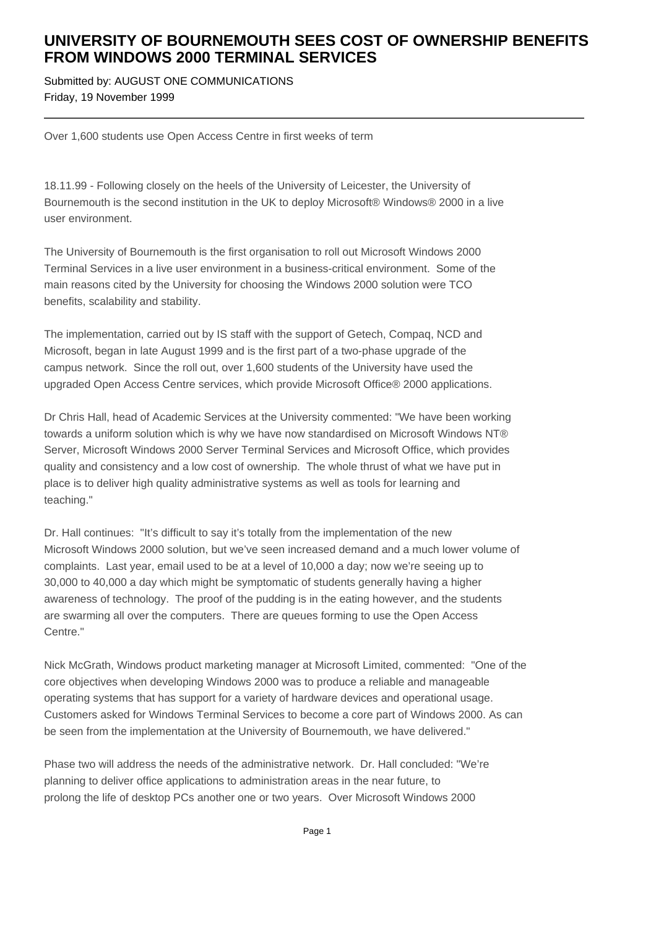## **UNIVERSITY OF BOURNEMOUTH SEES COST OF OWNERSHIP BENEFITS FROM WINDOWS 2000 TERMINAL SERVICES**

Submitted by: AUGUST ONE COMMUNICATIONS Friday, 19 November 1999

Over 1,600 students use Open Access Centre in first weeks of term

18.11.99 - Following closely on the heels of the University of Leicester, the University of Bournemouth is the second institution in the UK to deploy Microsoft® Windows® 2000 in a live user environment.

The University of Bournemouth is the first organisation to roll out Microsoft Windows 2000 Terminal Services in a live user environment in a business-critical environment. Some of the main reasons cited by the University for choosing the Windows 2000 solution were TCO benefits, scalability and stability.

The implementation, carried out by IS staff with the support of Getech, Compaq, NCD and Microsoft, began in late August 1999 and is the first part of a two-phase upgrade of the campus network. Since the roll out, over 1,600 students of the University have used the upgraded Open Access Centre services, which provide Microsoft Office® 2000 applications.

Dr Chris Hall, head of Academic Services at the University commented: "We have been working towards a uniform solution which is why we have now standardised on Microsoft Windows NT® Server, Microsoft Windows 2000 Server Terminal Services and Microsoft Office, which provides quality and consistency and a low cost of ownership. The whole thrust of what we have put in place is to deliver high quality administrative systems as well as tools for learning and teaching."

Dr. Hall continues: "It's difficult to say it's totally from the implementation of the new Microsoft Windows 2000 solution, but we've seen increased demand and a much lower volume of complaints. Last year, email used to be at a level of 10,000 a day; now we're seeing up to 30,000 to 40,000 a day which might be symptomatic of students generally having a higher awareness of technology. The proof of the pudding is in the eating however, and the students are swarming all over the computers. There are queues forming to use the Open Access Centre."

Nick McGrath, Windows product marketing manager at Microsoft Limited, commented: "One of the core objectives when developing Windows 2000 was to produce a reliable and manageable operating systems that has support for a variety of hardware devices and operational usage. Customers asked for Windows Terminal Services to become a core part of Windows 2000. As can be seen from the implementation at the University of Bournemouth, we have delivered."

Phase two will address the needs of the administrative network. Dr. Hall concluded: "We're planning to deliver office applications to administration areas in the near future, to prolong the life of desktop PCs another one or two years. Over Microsoft Windows 2000